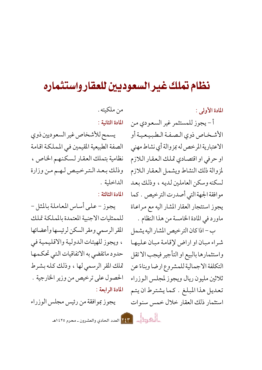## نظام تملك غير السعوديين للعقار واستثماره

المادة الأولى :

أ - يجوز للمستثمر غير السعودي من الأشخاص ذوى الصفة الطبيعية أو الاعتبارية المرخص له بمز والة أي نشاط مهنى او حرفي او اقتصادي تملك العقار اللازم لمزوالة ذلك النشاط ويشمل العقار اللازم لسكنه وسكن العاملين لديه ، وذلك بعد موافقة الجهة التي أصدرت الترخيص . كما يجوز استئجار العقار المشار اليه مع مراعاة ماورد في المادة الخامسة من هذا النظام .

ب – اذا كان التر خيص المشار اليه يشمل شراء مبان او اراض لإقامة مبان عليها واستثمارها بالبيع او التأجير فيجب الاتقل التكلفة الاجمالية للمشروع ارضا وبناءً عن ثلاثين مليون ريال ويجوز لمجلس الوزراء تعديل هذا المبلغ . كما يشترط ان يتم استثمار ذلك العقار خلال خمس سنوات

من ملكيته . المادة الثانية :

يسمح للأشخاص غير السعوديين ذوى الصفة الطبيعية المقيمين في المملكة اقامة نظامية بتملك العقار لسكنهم الخاص ، وذلك بعد الترخيص لهم من وزارة الداخلية .

المادة الثالثة :

يجوز – على أساس المعاملة بالمثل – للممثليات الاجنبية المعتمدة بالمملكة تملك المقر الرسمي ومقر السكن لرئيسها وأعضائها ، ويجوز للهيئات الدولية والاقليمية في حدود ماتقضى به الاتفاقيات التبي تحكمها تملك المقر الرسمي لها ، وذلك كله بشرط الحصول على ترخيص من وزير الخارجية . المادة الرابعة :

يجوز بموافقة من رئيس مجلس الوزراء

المسيط المسيح المعدد الحادي والعشرون ـ محرم ١٤٢٥هـ